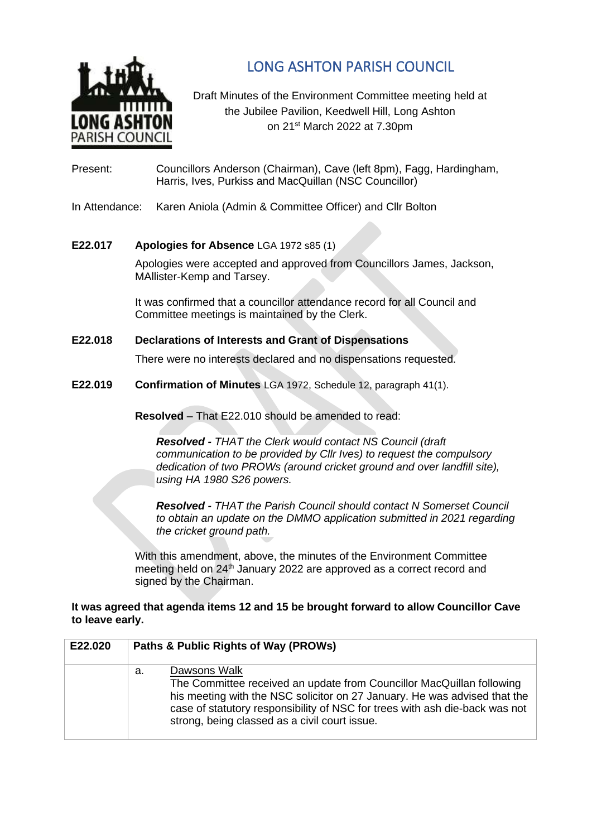

LONG ASHTON PARISH COUNCIL

Draft Minutes of the Environment Committee meeting held at the Jubilee Pavilion, Keedwell Hill, Long Ashton on 21st March 2022 at 7.30pm

Present: Councillors Anderson (Chairman), Cave (left 8pm), Fagg, Hardingham, Harris, Ives, Purkiss and MacQuillan (NSC Councillor)

In Attendance: Karen Aniola (Admin & Committee Officer) and Cllr Bolton

## **E22.017 Apologies for Absence** LGA 1972 s85 (1)

Apologies were accepted and approved from Councillors James, Jackson, MAllister-Kemp and Tarsey.

It was confirmed that a councillor attendance record for all Council and Committee meetings is maintained by the Clerk.

## **E22.018 Declarations of Interests and Grant of Dispensations**

There were no interests declared and no dispensations requested.

**E22.019 Confirmation of Minutes** LGA 1972, Schedule 12, paragraph 41(1).

**Resolved** – That E22.010 should be amended to read:

*Resolved - THAT the Clerk would contact NS Council (draft communication to be provided by Cllr Ives) to request the compulsory dedication of two PROWs (around cricket ground and over landfill site), using HA 1980 S26 powers.*

*Resolved - THAT the Parish Council should contact N Somerset Council to obtain an update on the DMMO application submitted in 2021 regarding the cricket ground path.*

With this amendment, above, the minutes of the Environment Committee meeting held on 24<sup>th</sup> January 2022 are approved as a correct record and signed by the Chairman.

## **It was agreed that agenda items 12 and 15 be brought forward to allow Councillor Cave to leave early.**

| E22.020 | Paths & Public Rights of Way (PROWs)                                                                                                                                                                                                                                                                     |  |
|---------|----------------------------------------------------------------------------------------------------------------------------------------------------------------------------------------------------------------------------------------------------------------------------------------------------------|--|
|         | Dawsons Walk<br>а.<br>The Committee received an update from Councillor MacQuillan following<br>his meeting with the NSC solicitor on 27 January. He was advised that the<br>case of statutory responsibility of NSC for trees with ash die-back was not<br>strong, being classed as a civil court issue. |  |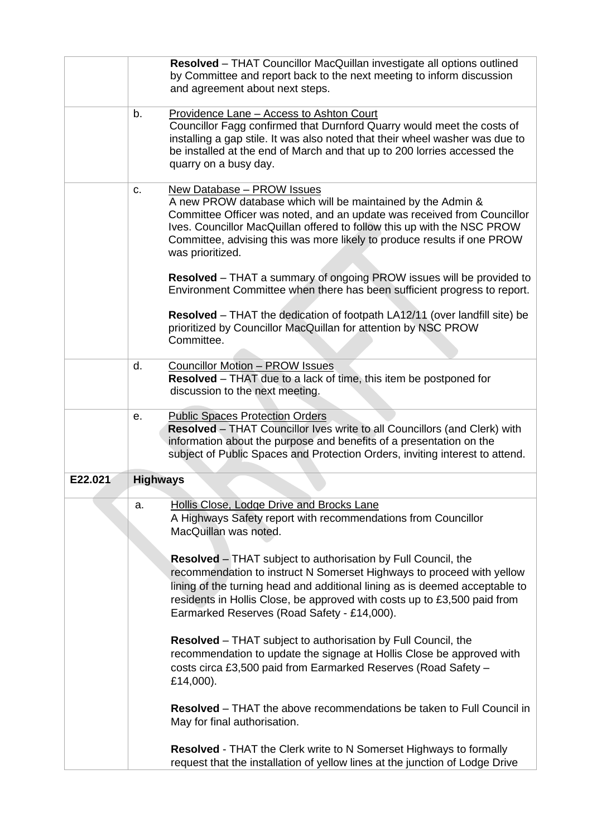|         |                 | Resolved - THAT Councillor MacQuillan investigate all options outlined<br>by Committee and report back to the next meeting to inform discussion<br>and agreement about next steps.                                                                                                                                                                      |
|---------|-----------------|---------------------------------------------------------------------------------------------------------------------------------------------------------------------------------------------------------------------------------------------------------------------------------------------------------------------------------------------------------|
|         | b.              | Providence Lane - Access to Ashton Court<br>Councillor Fagg confirmed that Durnford Quarry would meet the costs of<br>installing a gap stile. It was also noted that their wheel washer was due to<br>be installed at the end of March and that up to 200 lorries accessed the<br>quarry on a busy day.                                                 |
|         | C.              | New Database - PROW Issues<br>A new PROW database which will be maintained by the Admin &<br>Committee Officer was noted, and an update was received from Councillor<br>Ives. Councillor MacQuillan offered to follow this up with the NSC PROW<br>Committee, advising this was more likely to produce results if one PROW<br>was prioritized.          |
|         |                 | <b>Resolved</b> – THAT a summary of ongoing PROW issues will be provided to<br>Environment Committee when there has been sufficient progress to report.                                                                                                                                                                                                 |
|         |                 | Resolved - THAT the dedication of footpath LA12/11 (over landfill site) be<br>prioritized by Councillor MacQuillan for attention by NSC PROW<br>Committee.                                                                                                                                                                                              |
|         | d.              | <b>Councillor Motion - PROW Issues</b><br><b>Resolved</b> – THAT due to a lack of time, this item be postponed for<br>discussion to the next meeting.                                                                                                                                                                                                   |
|         | е.              | <b>Public Spaces Protection Orders</b><br>Resolved - THAT Councillor Ives write to all Councillors (and Clerk) with<br>information about the purpose and benefits of a presentation on the<br>subject of Public Spaces and Protection Orders, inviting interest to attend.                                                                              |
| E22.021 | <b>Highways</b> |                                                                                                                                                                                                                                                                                                                                                         |
|         | a.              | Hollis Close, Lodge Drive and Brocks Lane<br>A Highways Safety report with recommendations from Councillor<br>MacQuillan was noted.                                                                                                                                                                                                                     |
|         |                 | <b>Resolved</b> – THAT subject to authorisation by Full Council, the<br>recommendation to instruct N Somerset Highways to proceed with yellow<br>lining of the turning head and additional lining as is deemed acceptable to<br>residents in Hollis Close, be approved with costs up to £3,500 paid from<br>Earmarked Reserves (Road Safety - £14,000). |
|         |                 | <b>Resolved</b> – THAT subject to authorisation by Full Council, the<br>recommendation to update the signage at Hollis Close be approved with<br>costs circa £3,500 paid from Earmarked Reserves (Road Safety -<br>£14,000).                                                                                                                            |
|         |                 | <b>Resolved</b> – THAT the above recommendations be taken to Full Council in<br>May for final authorisation.                                                                                                                                                                                                                                            |
|         |                 | <b>Resolved</b> - THAT the Clerk write to N Somerset Highways to formally<br>request that the installation of yellow lines at the junction of Lodge Drive                                                                                                                                                                                               |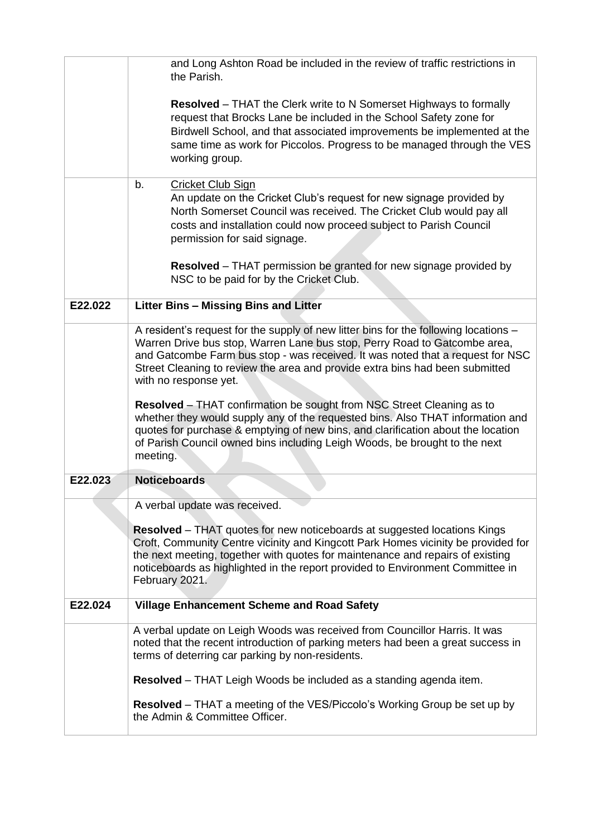|         | and Long Ashton Road be included in the review of traffic restrictions in<br>the Parish.                                                                                                                                                                                                                                                                                                                                                                                                                                                                                                                                                                                                              |
|---------|-------------------------------------------------------------------------------------------------------------------------------------------------------------------------------------------------------------------------------------------------------------------------------------------------------------------------------------------------------------------------------------------------------------------------------------------------------------------------------------------------------------------------------------------------------------------------------------------------------------------------------------------------------------------------------------------------------|
|         | <b>Resolved</b> – THAT the Clerk write to N Somerset Highways to formally<br>request that Brocks Lane be included in the School Safety zone for<br>Birdwell School, and that associated improvements be implemented at the<br>same time as work for Piccolos. Progress to be managed through the VES<br>working group.                                                                                                                                                                                                                                                                                                                                                                                |
|         | b.<br><b>Cricket Club Sign</b><br>An update on the Cricket Club's request for new signage provided by<br>North Somerset Council was received. The Cricket Club would pay all<br>costs and installation could now proceed subject to Parish Council<br>permission for said signage.                                                                                                                                                                                                                                                                                                                                                                                                                    |
|         | <b>Resolved</b> – THAT permission be granted for new signage provided by<br>NSC to be paid for by the Cricket Club.                                                                                                                                                                                                                                                                                                                                                                                                                                                                                                                                                                                   |
| E22.022 | Litter Bins - Missing Bins and Litter                                                                                                                                                                                                                                                                                                                                                                                                                                                                                                                                                                                                                                                                 |
|         | A resident's request for the supply of new litter bins for the following locations -<br>Warren Drive bus stop, Warren Lane bus stop, Perry Road to Gatcombe area,<br>and Gatcombe Farm bus stop - was received. It was noted that a request for NSC<br>Street Cleaning to review the area and provide extra bins had been submitted<br>with no response yet.<br>Resolved - THAT confirmation be sought from NSC Street Cleaning as to<br>whether they would supply any of the requested bins. Also THAT information and<br>quotes for purchase & emptying of new bins, and clarification about the location<br>of Parish Council owned bins including Leigh Woods, be brought to the next<br>meeting. |
| E22.023 | <b>Noticeboards</b>                                                                                                                                                                                                                                                                                                                                                                                                                                                                                                                                                                                                                                                                                   |
|         | A verbal update was received.<br><b>Resolved</b> – THAT quotes for new noticeboards at suggested locations Kings<br>Croft, Community Centre vicinity and Kingcott Park Homes vicinity be provided for<br>the next meeting, together with quotes for maintenance and repairs of existing<br>noticeboards as highlighted in the report provided to Environment Committee in<br>February 2021.                                                                                                                                                                                                                                                                                                           |
| E22.024 | <b>Village Enhancement Scheme and Road Safety</b>                                                                                                                                                                                                                                                                                                                                                                                                                                                                                                                                                                                                                                                     |
|         | A verbal update on Leigh Woods was received from Councillor Harris. It was<br>noted that the recent introduction of parking meters had been a great success in<br>terms of deterring car parking by non-residents.                                                                                                                                                                                                                                                                                                                                                                                                                                                                                    |
|         | Resolved - THAT Leigh Woods be included as a standing agenda item.                                                                                                                                                                                                                                                                                                                                                                                                                                                                                                                                                                                                                                    |
|         | <b>Resolved</b> – THAT a meeting of the VES/Piccolo's Working Group be set up by<br>the Admin & Committee Officer.                                                                                                                                                                                                                                                                                                                                                                                                                                                                                                                                                                                    |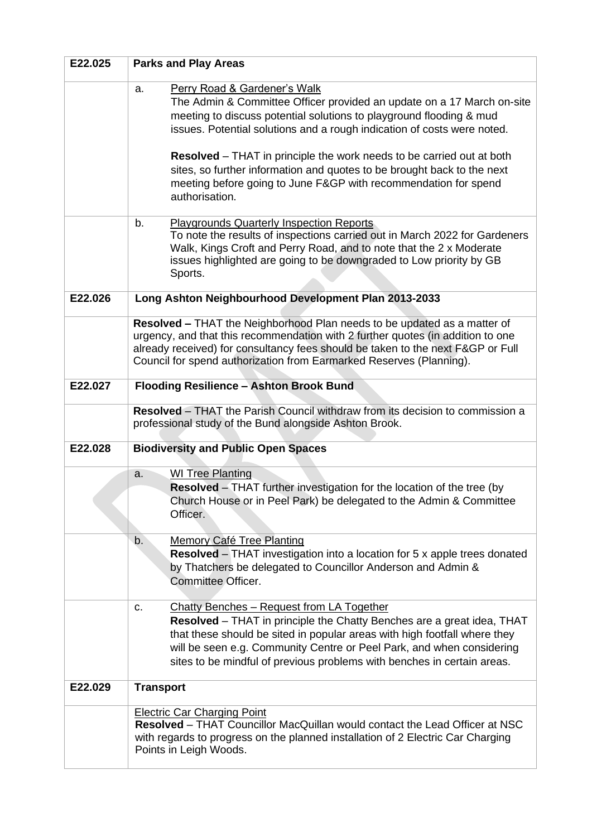| E22.025 | <b>Parks and Play Areas</b>                                                                                                                                                                                                                                                                                                                                                                                                                                                                                               |  |
|---------|---------------------------------------------------------------------------------------------------------------------------------------------------------------------------------------------------------------------------------------------------------------------------------------------------------------------------------------------------------------------------------------------------------------------------------------------------------------------------------------------------------------------------|--|
|         | <b>Perry Road &amp; Gardener's Walk</b><br>a.<br>The Admin & Committee Officer provided an update on a 17 March on-site<br>meeting to discuss potential solutions to playground flooding & mud<br>issues. Potential solutions and a rough indication of costs were noted.<br><b>Resolved</b> – THAT in principle the work needs to be carried out at both<br>sites, so further information and quotes to be brought back to the next<br>meeting before going to June F&GP with recommendation for spend<br>authorisation. |  |
|         | <b>Playgrounds Quarterly Inspection Reports</b><br>b.<br>To note the results of inspections carried out in March 2022 for Gardeners<br>Walk, Kings Croft and Perry Road, and to note that the 2 x Moderate<br>issues highlighted are going to be downgraded to Low priority by GB<br>Sports.                                                                                                                                                                                                                              |  |
| E22.026 | Long Ashton Neighbourhood Development Plan 2013-2033                                                                                                                                                                                                                                                                                                                                                                                                                                                                      |  |
|         | Resolved - THAT the Neighborhood Plan needs to be updated as a matter of<br>urgency, and that this recommendation with 2 further quotes (in addition to one<br>already received) for consultancy fees should be taken to the next F&GP or Full<br>Council for spend authorization from Earmarked Reserves (Planning).                                                                                                                                                                                                     |  |
| E22.027 | <b>Flooding Resilience - Ashton Brook Bund</b>                                                                                                                                                                                                                                                                                                                                                                                                                                                                            |  |
|         | <b>Resolved</b> – THAT the Parish Council withdraw from its decision to commission a<br>professional study of the Bund alongside Ashton Brook.                                                                                                                                                                                                                                                                                                                                                                            |  |
| E22.028 | <b>Biodiversity and Public Open Spaces</b>                                                                                                                                                                                                                                                                                                                                                                                                                                                                                |  |
|         | <b>WI Tree Planting</b><br>a.<br><b>Resolved</b> – THAT further investigation for the location of the tree (by<br>Church House or in Peel Park) be delegated to the Admin & Committee<br>Officer.                                                                                                                                                                                                                                                                                                                         |  |
|         | b.<br><b>Memory Café Tree Planting</b><br><b>Resolved</b> – THAT investigation into a location for 5 x apple trees donated<br>by Thatchers be delegated to Councillor Anderson and Admin &<br>Committee Officer.                                                                                                                                                                                                                                                                                                          |  |
|         | Chatty Benches - Request from LA Together<br>c.<br>Resolved - THAT in principle the Chatty Benches are a great idea, THAT<br>that these should be sited in popular areas with high footfall where they<br>will be seen e.g. Community Centre or Peel Park, and when considering<br>sites to be mindful of previous problems with benches in certain areas.                                                                                                                                                                |  |
| E22.029 | <b>Transport</b>                                                                                                                                                                                                                                                                                                                                                                                                                                                                                                          |  |
|         | <b>Electric Car Charging Point</b><br>Resolved - THAT Councillor MacQuillan would contact the Lead Officer at NSC<br>with regards to progress on the planned installation of 2 Electric Car Charging<br>Points in Leigh Woods.                                                                                                                                                                                                                                                                                            |  |